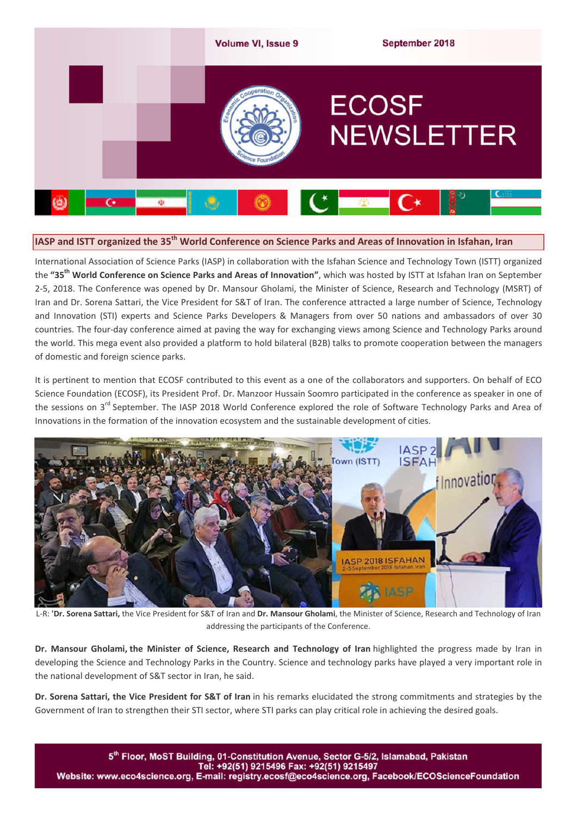

# **IASP and ISTT organized the 35th World Conference on Science Parks and Areas of Innovation in Isfahan, Iran**

International Association of Science Parks (IASP) in collaboration with the Isfahan Science and Technology Town (ISTT) organized the **"35th World Conference on Science Parks and Areas of Innovation"**, which was hosted by ISTT at Isfahan Iran on September 2-5, 2018. The Conference was opened by Dr. Mansour Gholami, the Minister of Science, Research and Technology (MSRT) of Iran and Dr. Sorena Sattari, the Vice President for S&T of Iran. The conference attracted a large number of Science, Technology and Innovation (STI) experts and Science Parks Developers & Managers from over 50 nations and ambassadors of over 30 countries. The four-day conference aimed at paving the way for exchanging views among Science and Technology Parks around the world. This mega event also provided a platform to hold bilateral (B2B) talks to promote cooperation between the managers of domestic and foreign science parks.

It is pertinent to mention that ECOSF contributed to this event as a one of the collaborators and supporters. On behalf of ECO Science Foundation (ECOSF), its President Prof. Dr. Manzoor Hussain Soomro participated in the conference as speaker in one of the sessions on 3<sup>rd</sup> September. The IASP 2018 World Conference explored the role of Software Technology Parks and Area of Innovations in the formation of the innovation ecosystem and the sustainable development of cities.



L-R: **'Dr. Sorena Sattari,** the Vice President for S&T of Iran and **Dr. Mansour Gholami**, the Minister of Science, Research and Technology of Iran addressing the participants of the Conference.

**Dr. Mansour Gholami, the Minister of Science, Research and Technology of Iran** highlighted the progress made by Iran in developing the Science and Technology Parks in the Country. Science and technology parks have played a very important role in the national development of S&T sector in Iran, he said.

**Dr. Sorena Sattari, the Vice President for S&T of Iran** in his remarks elucidated the strong commitments and strategies by the Government of Iran to strengthen their STI sector, where STI parks can play critical role in achieving the desired goals.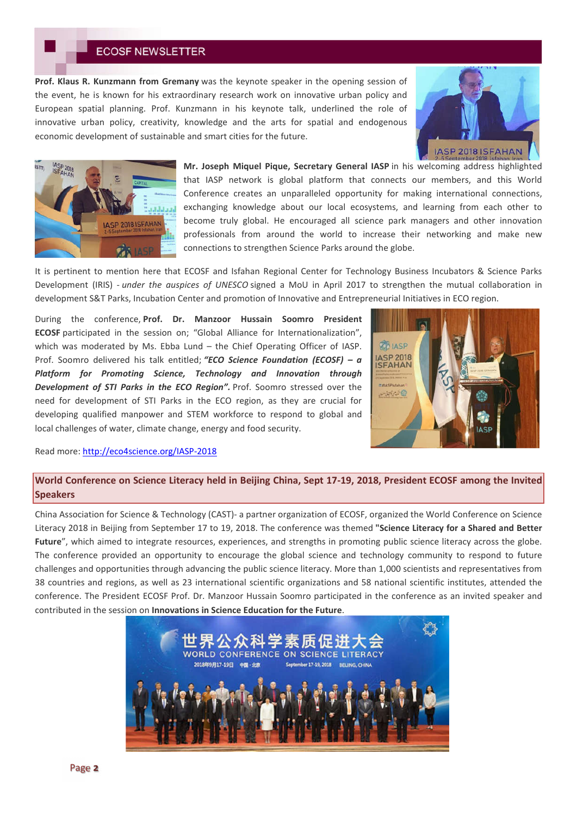**Prof. Klaus R. Kunzmann from Gremany** was the keynote speaker in the opening session of the event, he is known for his extraordinary research work on innovative urban policy and European spatial planning. Prof. Kunzmann in his keynote talk, underlined the role of innovative urban policy, creativity, knowledge and the arts for spatial and endogenous economic development of sustainable and smart cities for the future.





**Mr. Joseph Miquel Pique, Secretary General IASP** in his welcoming address highlighted that IASP network is global platform that connects our members, and this World Conference creates an unparalleled opportunity for making international connections, exchanging knowledge about our local ecosystems, and learning from each other to become truly global. He encouraged all science park managers and other innovation professionals from around the world to increase their networking and make new connections to strengthen Science Parks around the globe.

It is pertinent to mention here that ECOSF and Isfahan Regional Center for Technology Business Incubators & Science Parks Development (IRIS) - *under the auspices of UNESCO* signed a MoU in April 2017 to strengthen the mutual collaboration in development S&T Parks, Incubation Center and promotion of Innovative and Entrepreneurial Initiatives in ECO region.

During the conference, **Prof. Dr. Manzoor Hussain Soomro President ECOSF** participated in the session on; "Global Alliance for Internationalization", which was moderated by Ms. Ebba Lund – the Chief Operating Officer of IASP. Prof. Soomro delivered his talk entitled; *"ECO Science Foundation (ECOSF) – a Platform for Promoting Science, Technology and Innovation through Development of STI Parks in the ECO Region".* Prof. Soomro stressed over the need for development of STI Parks in the ECO region, as they are crucial for developing qualified manpower and STEM workforce to respond to global and local challenges of water, climate change, energy and food security.



Read more: http://eco4science.org/IASP-2018

## **World Conference on Science Literacy held in Beijing China, Sept 17-19, 2018, President ECOSF among the Invited Speakers**

China Association for Science & Technology (CAST)- a partner organization of ECOSF, organized the World Conference on Science Literacy 2018 in Beijing from September 17 to 19, 2018. The conference was themed **"Science Literacy for a Shared and Better**  Future", which aimed to integrate resources, experiences, and strengths in promoting public science literacy across the globe. The conference provided an opportunity to encourage the global science and technology community to respond to future challenges and opportunities through advancing the public science literacy. More than 1,000 scientists and representatives from 38 countries and regions, as well as 23 international scientific organizations and 58 national scientific institutes, attended the conference. The President ECOSF Prof. Dr. Manzoor Hussain Soomro participated in the conference as an invited speaker and contributed in the session on **Innovations in Science Education for the Future**.

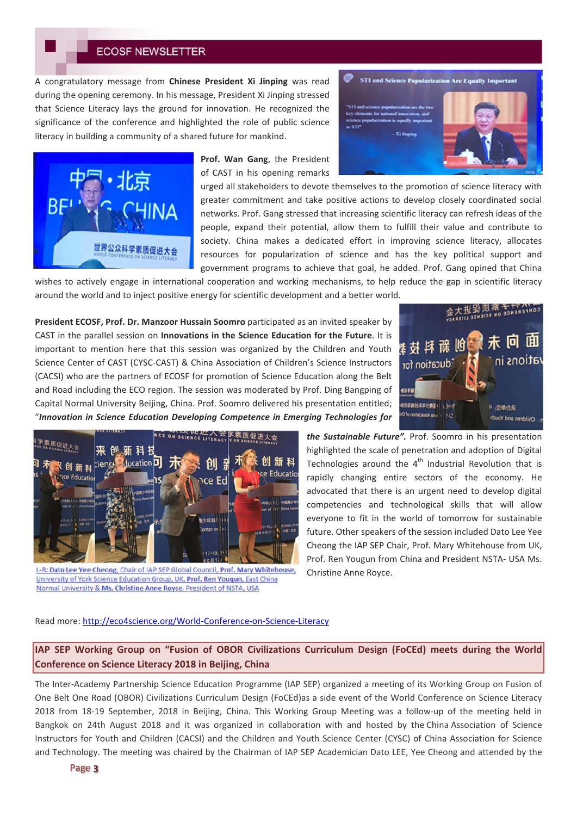A congratulatory message from **Chinese President Xi Jinping** was read during the opening ceremony. In his message, President Xi Jinping stressed that Science Literacy lays the ground for innovation. He recognized the significance of the conference and highlighted the role of public science literacy in building a community of a shared future for mankind.



**Prof. Wan Gang**, the President of CAST in his opening remarks

urged all stakeholders to devote themselves to the promotion of science literacy with greater commitment and take positive actions to develop closely coordinated social networks. Prof. Gang stressed that increasing scientific literacy can refresh ideas of the people, expand their potential, allow them to fulfill their value and contribute to society. China makes a dedicated effort in improving science literacy, allocates resources for popularization of science and has the key political support and government programs to achieve that goal, he added. Prof. Gang opined that China

wishes to actively engage in international cooperation and working mechanisms, to help reduce the gap in scientific literacy around the world and to inject positive energy for scientific development and a better world.

**President ECOSF, Prof. Dr. Manzoor Hussain Soomro** participated as an invited speaker by CAST in the parallel session on **Innovations in the Science Education for the Future**. It is important to mention here that this session was organized by the Children and Youth Science Center of CAST (CYSC-CAST) & China Association of Children's Science Instructors (CACSI) who are the partners of ECOSF for promotion of Science Education along the Belt and Road including the ECO region. The session was moderated by Prof. Ding Bangping of Capital Normal University Beijing, China. Prof. Soomro delivered his presentation entitled; "*Innovation in Science Education Developing Competence in Emerging Technologies for* 



STI and Science Popularization Are Equally Important



L-R: Dato Lee Yee Cheong, Chair of IAP SEP Global Council, Prof. Mary Whitehouse, University of York Science Education Group, UK, Prof. Ren Youqun, East China Normal University & Ms. Christine Anne Royce, President of NSTA, USA

*the Sustainable Future".* Prof. Soomro in his presentation highlighted the scale of penetration and adoption of Digital Technologies around the  $4<sup>th</sup>$  Industrial Revolution that is rapidly changing entire sectors of the economy. He advocated that there is an urgent need to develop digital competencies and technological skills that will allow everyone to fit in the world of tomorrow for sustainable future. Other speakers of the session included Dato Lee Yee Cheong the IAP SEP Chair, Prof. Mary Whitehouse from UK, Prof. Ren Yougun from China and President NSTA- USA Ms. Christine Anne Royce.

### Read more: http://eco4science.org/World-Conference-on-Science-Literacy

**IAP SEP Working Group on "Fusion of OBOR Civilizations Curriculum Design (FoCEd) meets during the World Conference on Science Literacy 2018 in Beijing, China**

The Inter-Academy Partnership Science Education Programme (IAP SEP) organized a meeting of its Working Group on Fusion of One Belt One Road (OBOR) Civilizations Curriculum Design (FoCEd)as a side event of the World Conference on Science Literacy 2018 from 18-19 September, 2018 in Beijing, China. This Working Group Meeting was a follow-up of the meeting held in Bangkok on 24th August 2018 and it was organized in collaboration with and hosted by the China Association of Science Instructors for Youth and Children (CACSI) and the Children and Youth Science Center (CYSC) of China Association for Science and Technology. The meeting was chaired by the Chairman of IAP SEP Academician Dato LEE, Yee Cheong and attended by the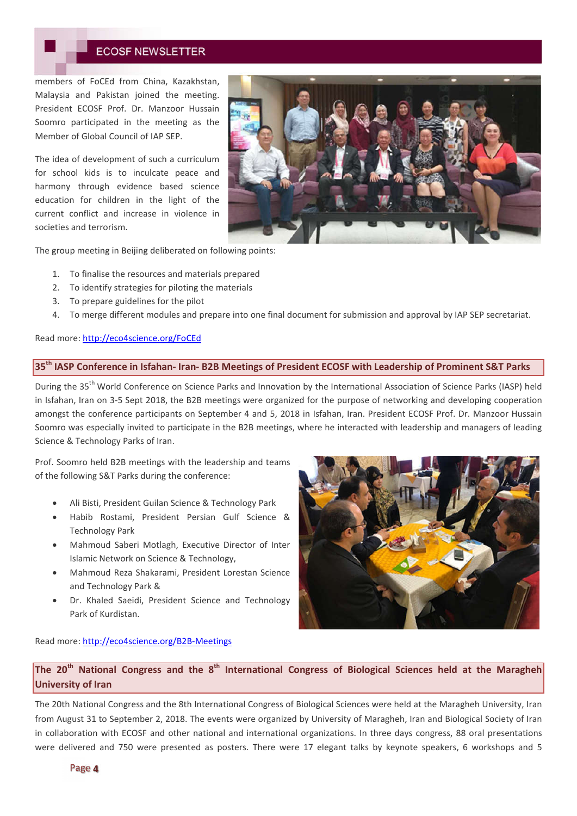members of FoCEd from China, Kazakhstan, Malaysia and Pakistan joined the meeting. President ECOSF Prof. Dr. Manzoor Hussain Soomro participated in the meeting as the Member of Global Council of IAP SEP.

The idea of development of such a curriculum for school kids is to inculcate peace and harmony through evidence based science education for children in the light of the current conflict and increase in violence in societies and terrorism.



The group meeting in Beijing deliberated on following points:

- 1. To finalise the resources and materials prepared
- 2. To identify strategies for piloting the materials
- 3. To prepare guidelines for the pilot
- 4. To merge different modules and prepare into one final document for submission and approval by IAP SEP secretariat.

### Read more: http://eco4science.org/FoCEd

## **35th IASP Conference in Isfahan- Iran- B2B Meetings of President ECOSF with Leadership of Prominent S&T Parks**

During the 35<sup>th</sup> World Conference on Science Parks and Innovation by the International Association of Science Parks (IASP) held in Isfahan, Iran on 3-5 Sept 2018, the B2B meetings were organized for the purpose of networking and developing cooperation amongst the conference participants on September 4 and 5, 2018 in Isfahan, Iran. President ECOSF Prof. Dr. Manzoor Hussain Soomro was especially invited to participate in the B2B meetings, where he interacted with leadership and managers of leading Science & Technology Parks of Iran.

Prof. Soomro held B2B meetings with the leadership and teams of the following S&T Parks during the conference:

- Ali Bisti, President Guilan Science & Technology Park
- Habib Rostami, President Persian Gulf Science & Technology Park
- Mahmoud Saberi Motlagh, Executive Director of Inter Islamic Network on Science & Technology,
- Mahmoud Reza Shakarami, President Lorestan Science and Technology Park &
- Dr. Khaled Saeidi, President Science and Technology Park of Kurdistan.



Read more: http://eco4science.org/B2B-Meetings

**The 20th National Congress and the 8th International Congress of Biological Sciences held at the Maragheh University of Iran**

The 20th National Congress and the 8th International Congress of Biological Sciences were held at the Maragheh University, Iran from August 31 to September 2, 2018. The events were organized by University of Maragheh, Iran and Biological Society of Iran in collaboration with ECOSF and other national and international organizations. In three days congress, 88 oral presentations were delivered and 750 were presented as posters. There were 17 elegant talks by keynote speakers, 6 workshops and 5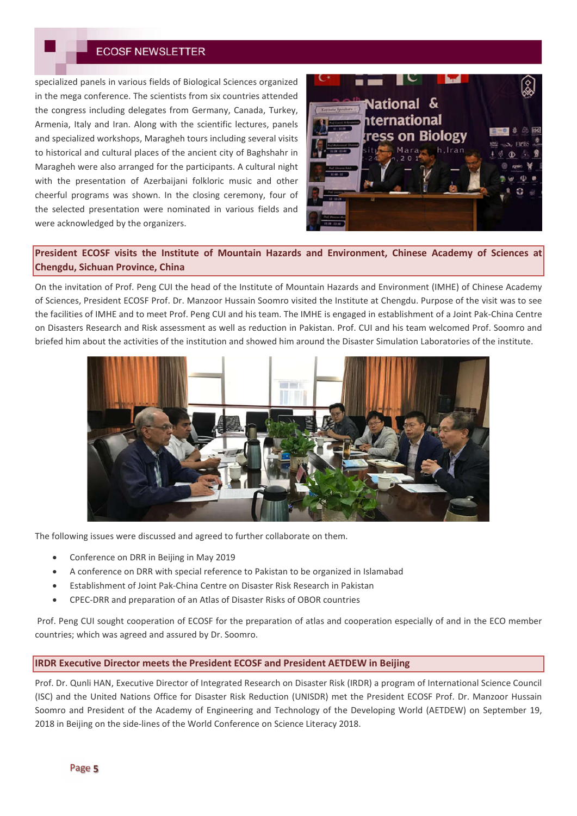specialized panels in various fields of Biological Sciences organized in the mega conference. The scientists from six countries attended the congress including delegates from Germany, Canada, Turkey, Armenia, Italy and Iran. Along with the scientific lectures, panels and specialized workshops, Maragheh tours including several visits to historical and cultural places of the ancient city of Baghshahr in Maragheh were also arranged for the participants. A cultural night with the presentation of Azerbaijani folkloric music and other cheerful programs was shown. In the closing ceremony, four of the selected presentation were nominated in various fields and were acknowledged by the organizers.



# **President ECOSF visits the Institute of Mountain Hazards and Environment, Chinese Academy of Sciences at Chengdu, Sichuan Province, China**

On the invitation of Prof. Peng CUI the head of the Institute of Mountain Hazards and Environment (IMHE) of Chinese Academy of Sciences, President ECOSF Prof. Dr. Manzoor Hussain Soomro visited the Institute at Chengdu. Purpose of the visit was to see the facilities of IMHE and to meet Prof. Peng CUI and his team. The IMHE is engaged in establishment of a Joint Pak-China Centre on Disasters Research and Risk assessment as well as reduction in Pakistan. Prof. CUI and his team welcomed Prof. Soomro and briefed him about the activities of the institution and showed him around the Disaster Simulation Laboratories of the institute.



The following issues were discussed and agreed to further collaborate on them.

- Conference on DRR in Beijing in May 2019
- A conference on DRR with special reference to Pakistan to be organized in Islamabad
- Establishment of Joint Pak-China Centre on Disaster Risk Research in Pakistan
- CPEC-DRR and preparation of an Atlas of Disaster Risks of OBOR countries

Prof. Peng CUI sought cooperation of ECOSF for the preparation of atlas and cooperation especially of and in the ECO member countries; which was agreed and assured by Dr. Soomro.

### **IRDR Executive Director meets the President ECOSF and President AETDEW in Beijing**

Prof. Dr. Qunli HAN, Executive Director of Integrated Research on Disaster Risk (IRDR) a program of International Science Council (ISC) and the United Nations Office for Disaster Risk Reduction (UNISDR) met the President ECOSF Prof. Dr. Manzoor Hussain Soomro and President of the Academy of Engineering and Technology of the Developing World (AETDEW) on September 19, 2018 in Beijing on the side-lines of the World Conference on Science Literacy 2018.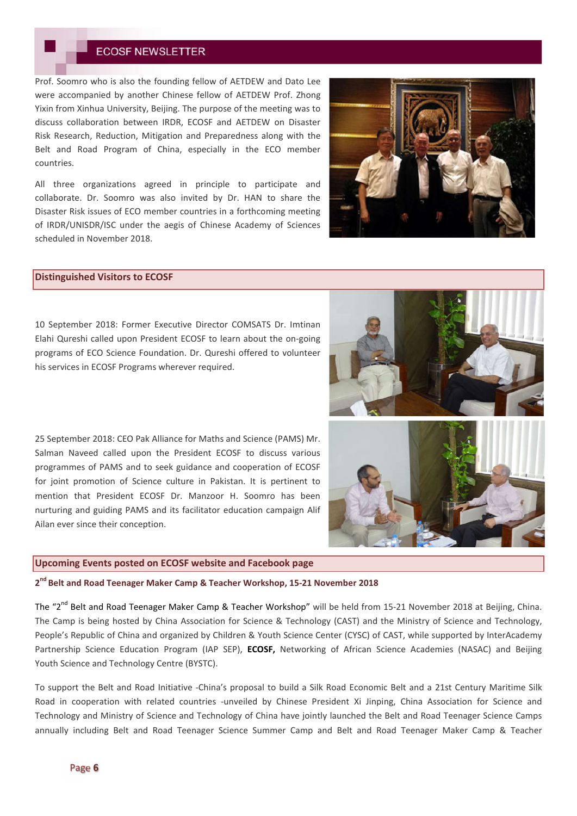Prof. Soomro who is also the founding fellow of AETDEW and Dato Lee were accompanied by another Chinese fellow of AETDEW Prof. Zhong Yixin from Xinhua University, Beijing. The purpose of the meeting was to discuss collaboration between IRDR, ECOSF and AETDEW on Disaster Risk Research, Reduction, Mitigation and Preparedness along with the Belt and Road Program of China, especially in the ECO member countries.

All three organizations agreed in principle to participate and collaborate. Dr. Soomro was also invited by Dr. HAN to share the Disaster Risk issues of ECO member countries in a forthcoming meeting of IRDR/UNISDR/ISC under the aegis of Chinese Academy of Sciences scheduled in November 2018.



#### **Distinguished Visitors to ECOSF**

10 September 2018: Former Executive Director COMSATS Dr. Imtinan Elahi Qureshi called upon President ECOSF to learn about the on-going programs of ECO Science Foundation. Dr. Qureshi offered to volunteer his services in ECOSF Programs wherever required.

25 September 2018: CEO Pak Alliance for Maths and Science (PAMS) Mr. Salman Naveed called upon the President ECOSF to discuss various programmes of PAMS and to seek guidance and cooperation of ECOSF for joint promotion of Science culture in Pakistan. It is pertinent to mention that President ECOSF Dr. Manzoor H. Soomro has been nurturing and guiding PAMS and its facilitator education campaign Alif Ailan ever since their conception.

#### **Upcoming Events posted on ECOSF website and Facebook page**

**2 nd Belt and Road Teenager Maker Camp & Teacher Workshop, 15-21 November 2018**

The "2<sup>nd</sup> Belt and Road Teenager Maker Camp & Teacher Workshop" will be held from 15-21 November 2018 at Beijing, China. The Camp is being hosted by China Association for Science & Technology (CAST) and the Ministry of Science and Technology, People's Republic of China and organized by Children & Youth Science Center (CYSC) of CAST, while supported by InterAcademy Partnership Science Education Program (IAP SEP), **ECOSF,** Networking of African Science Academies (NASAC) and Beijing Youth Science and Technology Centre (BYSTC).

To support the Belt and Road Initiative -China's proposal to build a Silk Road Economic Belt and a 21st Century Maritime Silk Road in cooperation with related countries -unveiled by Chinese President Xi Jinping, China Association for Science and Technology and Ministry of Science and Technology of China have jointly launched the Belt and Road Teenager Science Camps annually including Belt and Road Teenager Science Summer Camp and Belt and Road Teenager Maker Camp & Teacher